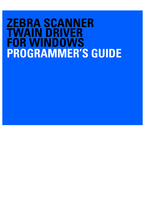# **ZEBRA SCANNER TWAIN DRIVER FOR WINDOWS PROGRAMMER'S GUIDE**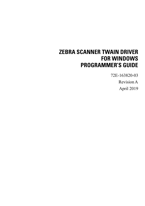## **ZEBRA SCANNER TWAIN DRIVER FOR WINDOWS PROGRAMMER'S GUIDE**

72E-163820-03

Revision A

April 2019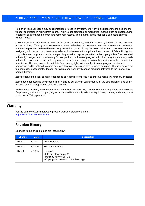No part of this publication may be reproduced or used in any form, or by any electrical or mechanical means, without permission in writing from Zebra. This includes electronic or mechanical means, such as photocopying, recording, or information storage and retrieval systems. The material in this manual is subject to change without notice.

The software is provided strictly on an "as is" basis. All software, including firmware, furnished to the user is on a licensed basis. Zebra grants to the user a non-transferable and non-exclusive license to use each software or firmware program delivered hereunder (licensed program). Except as noted below, such license may not be assigned, sublicensed, or otherwise transferred by the user without prior written consent of Zebra. No right to copy a licensed program in whole or in part is granted, except as permitted under copyright law. The user shall not modify, merge, or incorporate any form or portion of a licensed program with other program material, create a derivative work from a licensed program, or use a licensed program in a network without written permission from Zebra. The user agrees to maintain Zebra's copyright notice on the licensed programs delivered hereunder, and to include the same on any authorized copies it makes, in whole or in part. The user agrees not to decompile, disassemble, decode, or reverse engineer any licensed program delivered to the user or any portion thereof.

Zebra reserves the right to make changes to any software or product to improve reliability, function, or design.

Zebra does not assume any product liability arising out of, or in connection with, the application or use of any product, circuit, or application described herein.

No license is granted, either expressly or by implication, estoppel, or otherwise under any Zebra Technologies Corporation, intellectual property rights. An implied license only exists for equipment, circuits, and subsystems contained in Zebra products.

### <span id="page-3-0"></span>**Warranty**

For the complete Zebra hardware product warranty statement, go to: [http://www.zebra.com/warranty.](http://www.zebra.com/warranty)

## <span id="page-3-1"></span>**Revision History**

Changes to the original guide are listed below:

| <b>Change</b> | <b>Date</b> | <b>Description</b>                                                                                              |
|---------------|-------------|-----------------------------------------------------------------------------------------------------------------|
| Rev. A        | 4/2012      | Initial Release                                                                                                 |
| Rev. A        | 4/2015      | Zebra Rebranding                                                                                                |
| Rev. A        | 4/2019      | Updated:<br>- File directory on pg. 2-1<br>- Registry key on pg. 2-3<br>- Copyright statement on the last page. |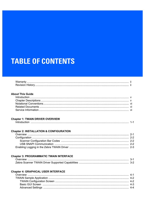# **TABLE OF CONTENTS**

| Revision |  |
|----------|--|

#### **About This Guide**

#### **Chapter 1: TWAIN DRIVER OVERVIEW**

|--|

## **Chapter 2: INSTALLATION & CONFIGURATION**

#### **Chapter 3: PROGRAMMATIC TWAIN INTERFACE**

#### **Chapter 4: GRAPHICAL USER INTERFACE**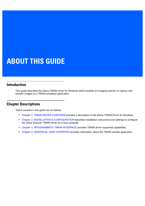## <span id="page-6-0"></span>**ABOUT THIS GUIDE**

## <span id="page-6-1"></span>**[Introduction](#page-6-1)**

This guide describes the Zebra TWAIN driver for Windows which enables an imaging scanner to capture and transfer images to a TWAIN-compliant application.

## <span id="page-6-2"></span>**Chapter Descriptions**

Topics covered in this guide are as follows:

- **•** *[Chapter 1, TWAIN DRIVER OVERVIEW](#page-8-2)* provides a description of the Zebra TWAIN Driver for Windows.
- **•** *[Chapter 2, INSTALLATION & CONFIGURATION](#page-10-2)* describes installation instructions and settings to configure the Zebra Scanner TWAIN driver on a host computer.
- **•** *[Chapter 3, PROGRAMMATIC TWAIN INTERFACE](#page-14-2)* provides TWAIN driver supported capabilities.
- **•** *[Chapter 4, GRAPHICAL USER INTERFACE](#page-20-2)* provides information about the TWAIN sample application.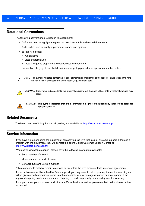## <span id="page-7-6"></span><span id="page-7-0"></span>**Notational Conventions**

<span id="page-7-4"></span>The following conventions are used in this document:

- **•** *Italics* are used to highlight chapters and sections in this and related documents.
- **• Bold** text is used to highlight parameter names and options.
- <span id="page-7-3"></span>**•** bullets (•) indicate:
	- **•** Action items
	- **•** Lists of alternatives
	- **•** Lists of required steps that are not necessarily sequential
- **•** Sequential lists (e.g., those that describe step-by-step procedures) appear as numbered lists.

*NOTE* This symbol indicates something of special interest or importance to the reader. Failure to read the note will not result in physical harm to the reader, equipment or data.



*CAUTION* This symbol indicates that if this information is ignored, the possibility of data or material damage may occur.



*WARNING!* **This symbol indicates that if this information is ignored the possibility that serious personal injury may occur.**

## <span id="page-7-1"></span>**Related Documents**

<span id="page-7-5"></span>The latest version of this guide and all guides, are available at:<http://www.zebra.com/support>.

## <span id="page-7-7"></span><span id="page-7-2"></span>**Service Information**

If you have a problem using the equipment, contact your facility's technical or systems support. If there is a problem with the equipment, they will contact the Zebra Global Customer Support Center at: <http://www.zebra.com/support>.

When contacting Zebra support, please have the following information available:

- **•** Serial number of the unit
- **•** Model number or product name
- **•** Software type and version number

Zebra responds to calls by e-mail, telephone or fax within the time limits set forth in service agreements.

If your problem cannot be solved by Zebra support, you may need to return your equipment for servicing and will be given specific directions. Zebra is not responsible for any damages incurred during shipment if the approved shipping container is not used. Shipping the units improperly can possibly void the warranty.

If you purchased your business product from a Zebra business partner, please contact that business partner for support.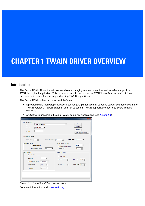# <span id="page-8-2"></span><span id="page-8-0"></span>**CHAPTER 1 TWAIN DRIVER OVERVIEW**

## <span id="page-8-1"></span>**Introduction**

The Zebra TWAIN Driver for Windows enables an imaging scanner to capture and transfer images to a TWAIN-compliant application. This driver conforms to portions of the TWAIN specification version 2.1 and provides an interface for querying and setting TWAIN capabilities.

The Zebra TWAIN driver provides two interfaces:

- <span id="page-8-5"></span>**•** A programmatic (non Graphical User Interface [GUI]) interface that supports capabilities described in the TWAIN version 2.1 specification in addition to custom TWAIN capabilities specific to Zebra imaging scanners.
- <span id="page-8-4"></span>**•** A GUI that is accessible through TWAIN-compliant applications (see *[Figure 1-1](#page-8-3)*).

|                                                                                                                                                                                                          | $\overline{\mathbf{x}}$                                                                                                                                                                              |
|----------------------------------------------------------------------------------------------------------------------------------------------------------------------------------------------------------|------------------------------------------------------------------------------------------------------------------------------------------------------------------------------------------------------|
| Basic Scan Settings<br>1: SNAPI [MXA5FE83<br>ı<br>Scanner<br>1024 x 1280<br>Resolution<br>۰<br>8 bit Gray<br>$\blacktriangledown$<br>Bit-Depth                                                           | OK<br>$\blacktriangledown$<br>Preview<br>Cancel<br><b>Hide Advanced Settings</b>                                                                                                                     |
| Advanced Scan Settings<br>$\div$<br>Image Count   1<br>Image Enhancement<br>Illumination Control<br>$\nabla$ Enable Illumination<br>Full<br><b>Illumination Bank Control</b><br>$\overline{\phantom{a}}$ | Rotate Image<br>$ 0\rangle$<br>loff<br>$\vert \cdot \vert$<br><b>Bufferd Memory Transfer</b><br>Compression scheme for<br><b>NONE</b><br><b>Buffered Memory Transfers</b><br>싂<br>65<br>JPEG Quality |
| - Auto Exposure<br>$\nabla$ Enable Auto Exposure<br>싂<br>۱o<br><b>Brightness</b><br>Autodetect<br><b>Gain Exposure Priority</b>                                                                          | Image Crop Control<br>□ Image Crop<br>Left Pixel $\Big 0\Big $<br>÷<br>$1,279$ $-$<br><b>Right Pixel</b>                                                                                             |
| <b>Fixed Exposure</b><br>100<br><b>Fixed Gain</b><br>50                                                                                                                                                  | <b>Bottom Pixel</b><br>$1,023 -$<br>Top Pixel 0<br>÷                                                                                                                                                 |
|                                                                                                                                                                                                          |                                                                                                                                                                                                      |

<span id="page-8-3"></span>**Figure 1-1** *GUI for the Zebra TWAIN Driver*

<span id="page-8-6"></span>[For more information, visit w](www.twain.org)ww.twain.org.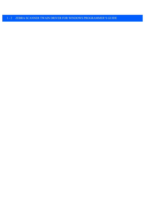## 1 - 2 ZEBRA SCANNER TWAIN DRIVER FOR WINDOWS PROGRAMMER'S GUIDE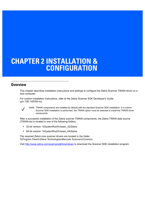## <span id="page-10-2"></span><span id="page-10-0"></span>**CHAPTER 2 INSTALLATION & CONFIGURATION**

## <span id="page-10-1"></span>**Overview**

This chapter describes installation instructions and settings to configure the Zebra Scanner TWAIN driver on a host computer.

For custom installation instructions, refer to the Zebra Scanner SDK Developer's Guide (p/n 72E-149784-xx).



*NOTE* TWAIN components are installed by default with the standard Scanner SDK installation. If a custom Scanner SDK installation is performed, the TWAIN option must be selected to install the TWAIN driver components.

After a successful installation of the Zebra scanner TWAIN components, the Zebra TWAIN data source (TWAIN.ds) is located in one of the following folders:

- <span id="page-10-5"></span>**•** 32-bit version: %SystemRoot%\twain\_32\Zebra
- <span id="page-10-4"></span><span id="page-10-3"></span>**•** 64-bit version: %SystemRoot%\twain\_64\Zebra

The required Zebra core scanner drivers are located in the folder: *%Program Files%\Zebra Technologies\Barcode Scanners\Common.*

[Visit](http://www.zebra.com/scannersdkforwindows) http://www.zebra.com/scannersdkforwindows to download the Scanner SDK installation program.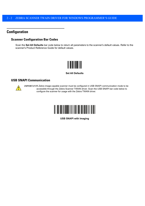## <span id="page-11-0"></span>**Configuration**

#### <span id="page-11-1"></span>**Scanner Configuration Bar Codes**

Scan the **Set All Defaults** bar code below to return all parameters to the scanner's default values. Refer to the scanner's Product Reference Guide for default values.



#### <span id="page-11-3"></span>**Set All Defaults**

#### <span id="page-11-2"></span>**USB SNAPI Communication**



*IMPORTANT*A Zebra image-capable scanner must be configured in USB SNAPI communication mode to be accessible through the Zebra Scanner TWAIN driver. Scan the USB SNAPI bar code below to configure the scanner for usage with the Zebra TWAIN driver.



<span id="page-11-4"></span>**USB SNAPI with Imaging**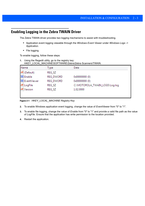## <span id="page-12-0"></span>**Enabling Logging in the Zebra TWAIN Driver**

The Zebra TWAIN driver provides two logging mechanisms to assist with troubleshooting.

- <span id="page-12-4"></span><span id="page-12-1"></span>**•** Application event logging viewable through the *Windows Event Viewer* under *Windows Logs -> Application*.
- <span id="page-12-3"></span><span id="page-12-2"></span>**•** File logging.

To enable logging, follow these steps:

| 1. Using the Regedit utility, go to the registry key:<br>HKEY LOCAL MACHINE\SOFTWARE\Zebra\Zebra Scanners\TWAIN. |        |      |  |
|------------------------------------------------------------------------------------------------------------------|--------|------|--|
| Name                                                                                                             | l ype  | Data |  |
| ab) (Default)                                                                                                    | REG SZ |      |  |

| ab) (Default)         | REG SZ    |                                |
|-----------------------|-----------|--------------------------------|
| <b>BU</b> Enable      | REG_DWORD | 0x00000000 (0)                 |
| <b>AU</b> EventViewer | REG_DWORD | 0x00000000 (0)                 |
| ab LogFile            | REG_SZ    | C:\MOTOROLA_TWAIN_LOGS\Log.log |
| ab Version            | REG SZ    | 1.02.0000                      |
|                       |           |                                |
|                       |           |                                |

**Figure 2-1** *HKEY\_LOCAL\_MACHINE Registry Key*

- **2.** To enable Windows application event logging, change the value of *EventViewer* from "0" to "1".
- **3.** To enable file logging, change the value of *Enable* from "0" to "1" and provide a valid file path as the value of *LogFile*. Ensure that the application has write permission to the location provided.
- **4.** Restart the application.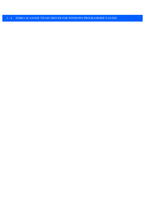#### 2 - 4 ZEBRA SCANNER TWAIN DRIVER FOR WINDOWS PROGRAMMER'S GUIDE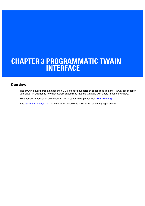## <span id="page-14-2"></span><span id="page-14-0"></span>**CHAPTER 3 PROGRAMMATIC TWAIN INTERFACE**

## <span id="page-14-1"></span>**Overview**

<span id="page-14-3"></span>The TWAIN driver's programmatic (non-GUI) interface supports 34 capabilities from the TWAIN specification version 2.1 in addition to 10 other custom capabilities that are available with Zebra imaging scanners.

<span id="page-14-4"></span>For additional information on standard TWAIN capabilities, please visit [www.twain.org.](www.twain.org)

See *[Table 3-2 on page 3-4](#page-17-0)*t for the custom capabilities specific to Zebra imaging scanners.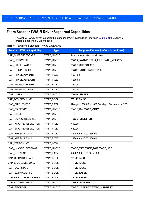## <span id="page-15-0"></span>**Zebra Scanner TWAIN Driver Supported Capabilities**

<span id="page-15-2"></span>The Zebra TWAIN driver supports the standard TWAIN capabilities (shown in *[Table 3-1](#page-15-1)*) through the programmatic (non-GUI) interface.

<span id="page-15-1"></span>**Table 3-1** *Supported Standard TWAIN Capabilities*

| <b>Standard TWAIN Capability</b> | <b>Type</b> | <b>Supported Values (default in bold text)</b>        |
|----------------------------------|-------------|-------------------------------------------------------|
| CAP_SUPPORTEDCAPS                | TWTY_UINT16 | lists the supported capabilities                      |
| ICAP_XFERMECH                    | TWTY_UINT16 | TWSX_NATIVE, TWSX_FILE, TWSX_MEMORY                   |
| ICAP_PIXELFLAVOR                 | TWTY_UINT16 | TWPF_CHOCOLATE                                        |
| ICAP_COMPRESSION                 | TWTY_UINT16 | TWCP_NONE, TWCP_JPEG                                  |
| ICAP_PHYSICALWIDTH               | TWTY_FIX32  | 1024.00                                               |
| ICAP_PHYSICALHEIGHT              | TWTY_FIX32  | 1280.00                                               |
| ICAP_MINIMUMHEIGHT               | TWTY_FIX32  | 320.00                                                |
| ICAP_MINIMUMWIDTH                | TWTY_FIX32  | 256.00                                                |
| ICAP_UNITS                       | TWTY_UINT16 | TWUN_PIXELS                                           |
| CAP_DEVICEONLINE                 | TWTY_BOOL   | TRUE, FALSE                                           |
| <b>ICAP BRIGHTNESS</b>           | TWTY_FIX32  | Range: -1000.00 to 1000.00, step 1.00, default = 0.00 |
| ICAP_PIXELTYPE                   | TWTY_UINT16 | TWPT_BW, TWPT_GRAY                                    |
| ICAP_BITDEPTH                    | TWTY_UINT16 | 4, 8                                                  |
| ICAP_SUPPORTEDSIZES              | TWTY_UINT16 | <b>TWSS_USLETTER</b>                                  |
| ICAP_XNATIVERESOLUTION           | TWTY_FIX32  | 512.00                                                |
| ICAP_YNATIVERESOLUTION           | TWTY_FIX32  | 640.00                                                |
| ICAP_XRESOLUTION                 | TWTY_FIX32  | 1024.00, 512.00, 256.00                               |
| ICAP_YRESOLUTION                 | TWTY_FIX32  | 1280.00, 640.00, 320.00                               |
| CAP_XFERCOUNT                    | TWTY INT16  | $-1$                                                  |
| ICAP IMAGEFILEFORMAT             | TWTY_UINT16 | TWFF_TIFF, TWFF_BMP, TWFF_JFIF                        |
| ICAP_ROTATION                    | TWTY_FIX32  | 0.00, 90.00, 180.00, 270.00                           |
| CAP_UICONTROLLABLE               | TWTY_BOOL   | TRUE, FALSE                                           |
| CAP_ENABLEDSUIONLY               | TWTY_BOOL   | TRUE, FALSE                                           |
| ICAP LAMPSTATE                   | TWTY_BOOL   | TRUE, FALSE                                           |
| ICAP_EXTIMAGEINFO                | TWTY_BOOL   | TRUE, FALSE                                           |
| CAP_REACQUIREALLOWED             | TWTY_BOOL   | TRUE, FALSE                                           |
| CAP_POWERSUPPLY                  | TWTY_UINT16 | <b>TWPS_EXTERNAL</b>                                  |
| ICAP BITORDER                    | TWTY_UINT16 | TWBO LSBFIRST, TWBO_MSBFIRST                          |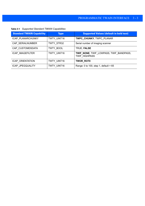| <b>Standard TWAIN Capability</b> | <b>Type</b>      | <b>Supported Values (default in bold text)</b>                         |
|----------------------------------|------------------|------------------------------------------------------------------------|
| ICAP PLANARCHUNKY                | TWTY UINT16      | <b>TWPC_CHUNKY, TWPC_PLANAR</b>                                        |
| CAP SERIALNUMBER                 | TWTY STR32       | Serial number of imaging scanner                                       |
| CAP CUSTOMDSDATA                 | <b>TWTY BOOL</b> | TRUE, FALSE                                                            |
| <b>ICAP IMAGEFILTER</b>          | TWTY UINT16      | <b>TWIF_NONE, TWIF LOWPASS, TWIF BANDPASS,</b><br><b>TWIF HIGHPASS</b> |
| <b>ICAP ORIENTATION</b>          | TWTY UINT16      | TWOR_ROT0                                                              |
| ICAP JPEGQUALITY                 | TWTY UINT16      | Range: 0 to 100, step 1, default = $65$                                |

#### **Table 3-1** *Supported Standard TWAIN Capabilities*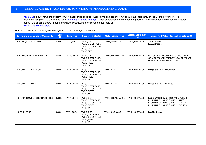*[Table 3-2](#page-17-1)* below shows the custom TWAIN capabilities specific to Zebra imaging scanners which are available through the Zebra TWAIN driver's programmatic (non-GUI) interface. See *[Advanced Settings on page 4-4](#page-23-1)* for descriptions of advanced capabilities. For additional information on features, consult the specific Zebra imaging scanner's Product Reference Guide available at: <www.zebra.com/support>.

#### <span id="page-17-1"></span>**Table 3-2** *Custom TWAIN Capabilities Specific to Zebra Imaging Scanners*

<span id="page-17-2"></span><span id="page-17-0"></span>

| <b>Zebra Imaging Scanner Capability</b> | $\frac{Cap}{ID}$ | <b>Item Type</b> | <b>Supported Msg(s)</b>                                                      | <b>GetContainerType</b> | <b>CurrentContainer</b><br><b>Type</b> | <b>Supported Values (default in bold text)</b>                                                                                                    |
|-----------------------------------------|------------------|------------------|------------------------------------------------------------------------------|-------------------------|----------------------------------------|---------------------------------------------------------------------------------------------------------------------------------------------------|
| IMOTCAP AUTOEXPOSURE                    | 0x8001           | TWTY BOOL        | TWQC GET,<br>TWQC_GETDEFAULT,<br>TWQC GETCURRENT,<br>TWQC RESET,<br>TWQC_SET | TWON ONEVALUE           | TWON ONEVALUE                          | <b>TRUE: Enable</b><br>FALSE: Disable                                                                                                             |
| IMOTCAP_GAINEXPOSUREPRIORITY            | 0x8002           | TWTY UINT16      | TWQC GET.<br>TWQC_GETDEFAULT,<br>TWQC GETCURRENT,<br>TWQC RESET,<br>TWQC_SET | TWON ENUMERATION        | TWON ONEVALUE                          | GAIN EXPOSURE PRIORITY LOW GAIN: 0<br>GAIN_EXPOSURE_PRIORITY_LOW_EXPOSURE: 1<br>GAIN_EXPOSURE_PRIORITY_AUTO: 2                                    |
| IMOTCAP FIXEDEXPOSURE                   | 0x8003           | TWTY UINT16      | TWQC GET,<br>TWQC GETDEFAULT,<br>TWQC_GETCURRENT,<br>TWQC RESET,<br>TWQC_SET | TWON RANGE              | TWON ONEVALUE                          | Range: 5 to 5000, Default = 100                                                                                                                   |
| IMOTCAP FIXEDGAIN                       | 0x8004           | TWTY UINT16      | TWQC GET,<br>TWQC GETDEFAULT,<br>TWQC_GETCURRENT,<br>TWQC RESET,<br>TWQC_SET | TWON RANGE              | TWON ONEVALUE                          | Range: 1 to 100, Default = 50                                                                                                                     |
| IMOTCAP ILLUMINATIONBANKCONTROL         | 0x8005           | TWTY UINT16      | TWQC GET,<br>TWQC GETDEFAULT,<br>TWQC GETCURRENT,<br>TWQC RESET,<br>TWQC SET | TWON ENUMERATION        | TWON ONEVALUE                          | ILLUMINATION_BANK_CONTROL_FULL: 0<br>ILLUMINATION BANK CONTROL AUTO: 1<br>ILLUMINATION BANK CONTROL LEFT: 2<br>ILLUMINATION BANK CONTROL RIGHT: 3 |
| <b>IMOTCAP CROP</b>                     | 0x8006           | <b>TWTY BOOL</b> | TWQC GET,<br>TWQC GETDEFAULT,<br>TWQC_GETCURRENT,<br>TWQC RESET,<br>TWQC_SET | TWON ONEVALUE           | TWON ONEVALUE                          | <b>FALSE: Disable</b>                                                                                                                             |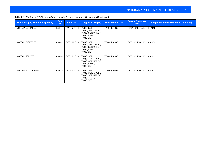## PROGRAMMATIC TWAIN INTERFACE 3 - 5

| <b>Zebra Imaging Scanner Capability</b> | $\frac{Cap}{ID}$ | <b>Item Type</b> | <b>Supported Msg(s)</b>                                                             | <b>GetContainerType</b> | <b>CurrentContainer</b><br><b>Type</b> | <b>Supported Values (default in bold text)</b> |
|-----------------------------------------|------------------|------------------|-------------------------------------------------------------------------------------|-------------------------|----------------------------------------|------------------------------------------------|
| IMOTCAP_LEFTPIXEL                       | 0x8007           | TWTY_UINT16      | TWQC GET,<br>TWQC GETDEFAULT,<br>TWQC_GETCURRENT,<br>TWQC_RESET,<br>TWQC SET        | TWON RANGE              | TWON ONEVALUE                          | $0 - 1279$                                     |
| <b>IMOTCAP RIGHTPIXEL</b>               | 0x8008           | TWTY_UINT16      | TWQC_GET,<br>TWQC GETDEFAULT,<br>TWQC_GETCURRENT,<br>TWQC RESET,<br>TWQC_SET        | TWON RANGE              | TWON ONEVALUE                          | $0 - 1279$                                     |
| IMOTCAP_TOPPIXEL                        | 0x8009           | TWTY_UINT16      | TWQC_GET,<br>TWQC GETDEFAULT,<br>TWQC GETCURRENT,<br>TWQC_RESET,<br>TWQC_SET        | TWON RANGE              | TWON ONEVALUE                          | $0 - 1023$                                     |
| IMOTCAP_BOTTOMPIXEL                     | 0x8010           | TWTY_UINT16      | TWQC_GET,<br>TWQC_GETDEFAULT,<br>TWQC_GETCURRENT,<br>TWQC_RESET,<br><b>TWQC SET</b> | TWON RANGE              | TWON ONEVALUE                          | $0 - 1023$                                     |

#### **Table 3-2** *Custom TWAIN Capabilities Specific to Zebra Imaging Scanners (Continued)*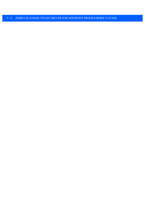#### 3 - 6 ZEBRA SCANNER TWAIN DRIVER FOR WINDOWS PROGRAMMER'S GUIDE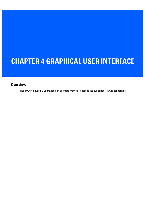# <span id="page-20-2"></span><span id="page-20-0"></span>**CHAPTER 4 GRAPHICAL USER INTERFACE**

## <span id="page-20-1"></span>**Overview**

The TWAIN driver's GUI provides an alternate method to access the supported TWAIN capabilities.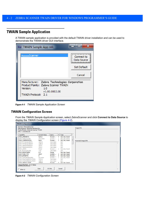## <span id="page-21-0"></span>**TWAIN Sample Application**

A TWAIN sample application is provided with the default TWAIN driver installation and can be used to demonstrate the TWAIN driver GUI interface. 

| $\blacktriangleright$ TWAIN Sample App mfc                                                                                                     | 52<br>e.                                        |
|------------------------------------------------------------------------------------------------------------------------------------------------|-------------------------------------------------|
| <b>XxxxxScanner</b>                                                                                                                            | Connect to<br>Data Source<br><b>Set Default</b> |
|                                                                                                                                                | Cancel                                          |
| Manufacturer: Zebra Technologies Corporation<br>Product Family: Zebra Scanner TWAIN<br>Version:<br>1.0<br>v1.00.0002.00<br>TWAIN Protocol: 2.1 |                                                 |

<span id="page-21-4"></span>**Figure 4-1** *TWAIN Sample Application Screen*

#### <span id="page-21-1"></span>**TWAIN Configuration Screen**

From the *TWAIN Sample Application* screen, select *ZebraScanner* and click **Connect to Data Source** to display the *TWAIN Configuration* screen (*[Figure 4-2](#page-21-2)*).

| Capability                    | <b>Current Value</b> | Query     |    | $#$ Type                 | ▴ |                            |
|-------------------------------|----------------------|-----------|----|--------------------------|---|----------------------------|
| <b>ICAP XFERMECH</b>          | Native               | Enumer    | 3. | Get, Set, Reset          |   |                            |
| <b>ICAP PIXELFLAVOR</b>       | Chocolate            | Enumer    |    | Get, Set, Reset          |   |                            |
| ICAP_COMPRESSION              | None                 | Enumer    |    | 2 Get, Set, Reset        |   | <b>Extended Image Info</b> |
| ICAP_PHYSICALWIDTH            | 1024.0               | One Value |    | Get                      |   |                            |
| ICAP PHYSICALHEIGHT           | 1280.0               | One Value |    | Get                      |   |                            |
| <b>ICAP MINIMUMHEIGHT</b>     | 320.0                | One Value |    | Get                      |   |                            |
| ICAP_MINIMUMWIDTH             | 256.0                | One Value |    | Get                      |   |                            |
| <b>ICAP UNITS</b>             | Pixels               |           |    | Enumer 1 Get, Set, Reset |   |                            |
| CAP DEVICEONLINE              | True                 | One Value |    | Get                      |   |                            |
| <b>ICAP BRIGHTNESS</b>        | 0.0                  | Range     |    | Get, Set, Reset          |   |                            |
| <b>ICAP PIXELTYPE</b>         | <b>GRAY</b>          | Enumer    |    | 2 Get, Set, Reset        |   |                            |
| <b>ICAP BITDEPTH</b>          | 8                    | Enumer    |    | 2 Get, Set, Reset        |   |                            |
| <b>ICAP SUPPORTEDSIZES</b>    | <b>US Letter</b>     | Enumer 1  |    | Get, Set, Reset          |   |                            |
| ICAP XNATIVERESOLUTION        | 1024.0               | One Value |    | Get                      |   |                            |
| <b>ICAP YNATIVERESOLUTION</b> | 1280.0               | One Value |    | Get                      |   |                            |
| TCAP VPESOLITTON              | 1024.0               | Friumer.  |    | 3 Cat Sat Dacat          |   |                            |

<span id="page-21-3"></span><span id="page-21-2"></span>**Figure 4-2** *TWAIN Configuration Screen*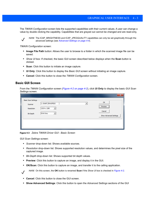The *TWAIN Configuration* screen lists the supported capabilities with their current values. A user can change a value by double clicking the capability. Capabilities that are grayed out cannot be changed and are read-only,



*NOTE* The ICAP\_BRIGHTNESS and ICAP\_JPEGQUALITY capabilities can only be set graphically through the advanced settings (see *[Advanced Settings on page 4-4](#page-23-0)*).

*TWAIN Configuration* screen:

- **• Image File Path** button: Allows the user to browse to a folder in which the scanned image file can be saved.
- **•** *Show UI* box: If checked, the basic GUI screen described below displays when the **Scan** button is clicked.
- **• Scan**: Click this button to initiate an image capture.
- **• UI Only**: Click this button to display the *Basic GUI* screen without initiating an image capture.
- **• Cancel**: Click this button to close the *TWAIN Configuration* screen.

#### <span id="page-22-0"></span>**Basic GUI Screen**

From the *TWAIN Configuration* screen (*[Figure 4-2 on page 4-2](#page-21-2)*), click **UI Only** to display the basic *GUI Scan Settings* screen.

|                                                            |                                                                                                      | $\mathbf{x}$                                           |
|------------------------------------------------------------|------------------------------------------------------------------------------------------------------|--------------------------------------------------------|
| -Basic Scan Settings<br>Scanner<br>Resolution<br>Bit-Depth | 1: SNAPI [MXA5FE83<br>▼<br>$\blacktriangledown$<br>1024 x 1280<br>$\blacktriangledown$<br>8 bit Gray | OK<br>,<br>Preview<br>Cancel<br>Show Advanced Settings |
|                                                            |                                                                                                      |                                                        |

**Figure 4-3** *Zebra TWAIN Driver GUI - Basic Screen*

*GUI Scan Settings* screen:

- <span id="page-22-1"></span>**•** *Scanner* drop-down list: Shows available sources.
- **•** *Resolution* drop-down list: Shows supported resolution values, and determines the pixel size of the captured image.
- **•** *Bit-Depth* drop-down list: Shows supported bit depth values.
- **• Preview**: Click this button to capture an image, and display it in the GUI.
- **• OK/Scan**: Click this button to capture an image, and transfer it to the calling application.

*NOTE* On this screen, the **OK** button is renamed **Scan** if the *Show UI* box is checked in *[Figure 4-2](#page-21-2)*.

- **• Cancel**: Click this button to close the GUI screen.
- **• Show Advanced Settings**: Click this button to open the *Advanced Settings* sections of the GUI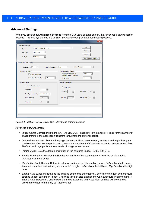#### <span id="page-23-0"></span>**Advanced Settings**

<span id="page-23-1"></span>When you click **Show Advanced Settings** from the *GUI Scan Settings* screen, the *Advanced Settings* section extends. This displays the basic *GUI Scan Settings* screen plus advanced setting options.

|                                                                                                                                                                                                            | A                                                                                                                                                                                |
|------------------------------------------------------------------------------------------------------------------------------------------------------------------------------------------------------------|----------------------------------------------------------------------------------------------------------------------------------------------------------------------------------|
| <b>Basic Scan Settings</b><br>1: SNAPI [MXA5FE83<br>$\mathbf{I}$<br>Scanner<br>1024 x 1280<br><b>Resolution</b><br>۰<br>8 bit Gray<br>Bit-Depth                                                            | OK<br>$\overline{\phantom{a}}$<br>Preview<br>Cancel<br>Hide Advanced Settings                                                                                                    |
| Advanced Scan Settings<br>극<br>Image Count   1<br>Image Enhancement<br><b>Illumination Control</b><br>$\nabla$ Enable Illumination<br>Full<br><b>Illumination Bank Control</b><br>$\overline{\phantom{a}}$ | Rotate Image<br>$\overline{0}$<br>loff<br><b>Bufferd Memory Transfer</b><br>Compression scheme for<br><b>NONE</b><br><b>Buffered Memory Transfers</b><br>65<br>JPEG Quality      |
| Auto Exposure<br>$\overline{\nabla}$ Enable Auto Exposure<br>÷<br>0<br><b>Brightness</b><br>Autodetect<br><b>Gain Exposure Priority</b><br><b>Fixed Exposure</b><br>100<br><b>Fixed Gain</b><br>50<br>÷    | Image Crop Control<br>$\Box$ Image Crop<br>Left Pixel $ 0$<br>÷<br>$1,279$ $-$<br><b>Right Pixel</b><br><b>Bottom Pixel</b><br>$1,023 -$<br><b>Top Pixel</b><br>÷<br>$ 0\rangle$ |
|                                                                                                                                                                                                            |                                                                                                                                                                                  |

**Figure 4-4** *Zebra TWAIN Driver GUI - Advanced Settings Screen*

*Advanced Settings* screen:

- <span id="page-23-2"></span>• *Image Count:* Corresponds to the CAP\_XFERCOUNT capability in the range of 1 to 25 for the number of image transfers the application transfers throughout the current session.
- **•** *Image Enhancement*: Sets the imaging scanner's ability to automatically enhance an image through a combination of edge sharpening and contrast enhancement. *Off* disables automatic enhancement; *Low*, *Medium*, and *High* perform those levels of image enhancement.
- **•** *Rotate Image*: Sets the degree of rotation of the captured image 0, 90, 180, 270.
- **•** *Enable Illumination*: Enables the illumination banks on the scan engine. Check the box to enable *Illumination Bank Control*.
- **•** *Illumination Bank Control*: Determines the operation of the illumination banks. *Full* enables both banks; *Auto* switches the illumination system from left to right; *Left* enables the left bank; *Right* enables the right bank.
- **•** *Enable Auto Exposure*: Enables the imaging scanner to automatically determine the gain and exposure settings to best capture an image. Checking this box also enables the Gain Exposure Priority setting. If Enable Auto Exposure is unchecked, the Fixed Exposure and Fixed Gain settings will be enabled allowing the user to manually set those values.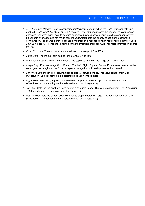- **•** *Gain Exposure Priority*: Sets the scanner's gain/exposure priority when the *Auto Exposure* setting is enabled - *Autodetect*, *Low Gain* or *Low Exposure*. *Low Gain* priority sets the scanner to favor longer exposure time over higher gain to capture an image. *Low Exposure* priority sets the scanner to favor higher gain over exposure for image capture. *Autodetect* sets the priority based on the scanner's configuration. For example, if the scanner is mounted in a magnetic switch read enabled stand, it uses *Low Gain* priority. Refer to the imaging scanner's Product Reference Guide for more information on this setting.
- **•** *Fixed Exposure*: The manual exposure setting in the range of 5 to 5000.
- **•** *Fixed Gain*: The manual gain setting in the range of 1 to 100.
- **•** *Brightness*: Sets the relative brightness of the captured image in the range of -1000 to 1000.
- **•** *Image Crop*: Enables Image Crop Control. The Left, Right, Top and Bottom Pixel values determine the rectangular sub-region of the full size captured image that will be displayed or transferred.
- **•** *Left Pixel*: Sets the left pixel column used to crop a captured image. This value ranges from 0 to (Xresolution - 2) depending on the selected resolution (image size).
- **•** *Right Pixel*: Sets the right pixel column used to crop a captured image. This value ranges from 0 to (Xresolution - 1) depending on the selected resolution (image size).
- **•** *Top Pixel*: Sets the top pixel row used to crop a captured image. This value ranges from 0 to (Yresolution - 2) depending on the selected resolution (image size).
- **•** *Bottom Pixel*: Sets the bottom pixel row used to crop a captured image. This value ranges from 0 to (Yresolution - 1) depending on the selected resolution (image size).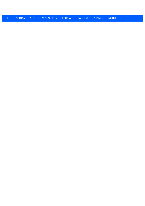#### 4 - 6 ZEBRA SCANNER TWAIN DRIVER FOR WINDOWS PROGRAMMER'S GUIDE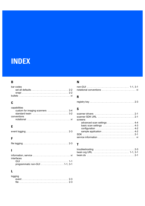# **INDEX**

## **B**

| bar codes |  |
|-----------|--|
|           |  |
|           |  |
|           |  |

## **C**

| capabilities                                                          |  |
|-----------------------------------------------------------------------|--|
| custom for imaging scanners  3-4                                      |  |
| standard twain $\ldots \ldots \ldots \ldots \ldots \ldots \ldots 3-2$ |  |
| conventions                                                           |  |
|                                                                       |  |
|                                                                       |  |

## **E**

## **F**

| file logging $\ldots \ldots \ldots \ldots \ldots \ldots \ldots \ldots \ldots \ldots \ldots$ 2-3 |  |  |  |  |  |  |  |  |  |  |  |  |  |  |  |  |  |  |  |  |  |  |  |  |  |  |  |  |  |  |  |  |  |  |  |
|-------------------------------------------------------------------------------------------------|--|--|--|--|--|--|--|--|--|--|--|--|--|--|--|--|--|--|--|--|--|--|--|--|--|--|--|--|--|--|--|--|--|--|--|
|-------------------------------------------------------------------------------------------------|--|--|--|--|--|--|--|--|--|--|--|--|--|--|--|--|--|--|--|--|--|--|--|--|--|--|--|--|--|--|--|--|--|--|--|

## **I**

| interfaces                                                     |  |
|----------------------------------------------------------------|--|
|                                                                |  |
| programmatic non-GUI $\dots\dots\dots\dots\dots\dots$ 1-1, 3-1 |  |

## **L**

| logging |  |  |  |  |  |  |  |  |  |  |
|---------|--|--|--|--|--|--|--|--|--|--|
|         |  |  |  |  |  |  |  |  |  |  |
|         |  |  |  |  |  |  |  |  |  |  |

## **N**

## **R**

|--|--|--|--|--|--|--|--|--|--|--|--|--|--|--|--|--|--|--|--|--|--|--|--|--|--|--|--|--|--|--|--|--|--|--|--|--|

## **S**

| screens                                                               |
|-----------------------------------------------------------------------|
|                                                                       |
| basic scan settings  4-3                                              |
| configuration  4-2                                                    |
| sample application $\ldots \ldots \ldots \ldots \ldots \ldots \ldots$ |
|                                                                       |
|                                                                       |

## **T**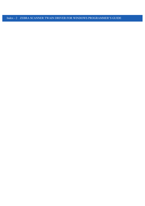#### Index - 2 ZEBRA SCANNER TWAIN DRIVER FOR WINDOWS PROGRAMMER'S GUIDE